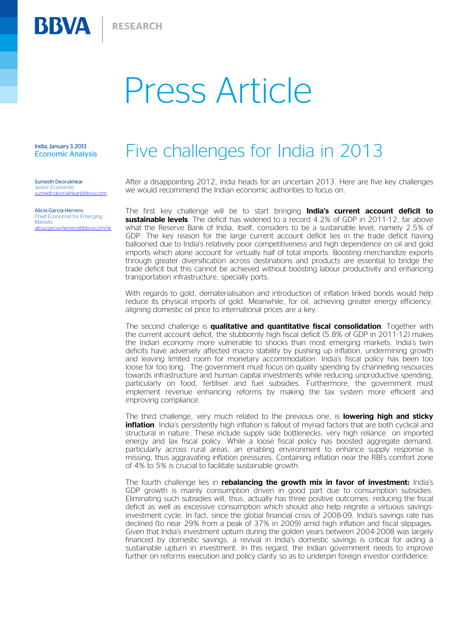## Press Article

India, January 3, 2013 Economic Analysis

**BBVA** 

Sumedh Deorukhkar *Senior Economist*  sumedh.deorukhkar@bbva.com

Alicia Garcia-Herrero Chief Economist for Emerging **Markets** alicia.garcia-herrero@bbva.com.hk

## Five challenges for India in 2013

After a disappointing 2012, India heads for an uncertain 2013. Here are five key challenges we would recommend the Indian economic authorities to focus on.

The first key challenge will be to start bringing **India's current account deficit to sustainable levels**. The deficit has widened to a record 4.2% of GDP in 2011-12, far above what the Reserve Bank of India, itself, considers to be a sustainable level, namely 2.5% of GDP. The key reason for the large current account deficit lies in the trade deficit having ballooned due to India's relatively poor competitiveness and high dependence on oil and gold imports which alone account for virtually half of total imports. Boosting merchandize exports through greater diversification across destinations and products are essential to bridge the trade deficit but this cannot be achieved without boosting labour productivity and enhancing transportation infrastructure, specially ports.

With regards to gold, dematerialisation and introduction of inflation linked bonds would help reduce its physical imports of gold. Meanwhile, for oil, achieving greater energy efficiency, aligning domestic oil price to international prices are a key.

The second challenge is **qualitative and quantitative fiscal consolidation**: Together with the current account deficit, the stubbornly high fiscal deficit (5.8% of GDP in 2011-12) makes the Indian economy more vulnerable to shocks than most emerging markets. India's twin deficits have adversely affected macro stability by pushing up inflation, undermining growth and leaving limited room for monetary accommodation. India's fiscal policy has been too loose for too long. The government must focus on quality spending by channelling resources towards infrastructure and human capital investments while reducing unproductive spending, particularly on food, fertiliser and fuel subsidies. Furthermore, the government must implement revenue enhancing reforms by making the tax system more efficient and improving compliance.

The third challenge, very much related to the previous one, is **lowering high and sticky inflation**. India's persistently high inflation is fallout of myriad factors that are both cyclical and structural in nature. These include supply side bottlenecks, very high reliance on imported energy and lax fiscal policy. While a loose fiscal policy has boosted aggregate demand, particularly across rural areas, an enabling environment to enhance supply response is missing, thus aggravating inflation pressures. Containing inflation near the RBI's comfort zone of 4% to 5% is crucial to facilitate sustainable growth.

The fourth challenge lies in **rebalancing the growth mix in favor of investment:** India's GDP growth is mainly consumption driven in good part due to consumption subsidies. Eliminating such subsidies will, thus, actually has three positive outcomes: reducing the fiscal deficit as well as excessive consumption which should also help reignite a virtuous savingsinvestment cycle. In fact, since the global financial crisis of 2008-09, India's savings rate has declined (to near 29% from a peak of 37% in 2009) amid high inflation and fiscal slippages. Given that India's investment upturn during the golden years between 2004-2008 was largely financed by domestic savings, a revival in India's domestic savings is critical for aiding a sustainable upturn in investment. In this regard, the Indian government needs to improve further on reforms execution and policy clarity so as to underpin foreign investor confidence.